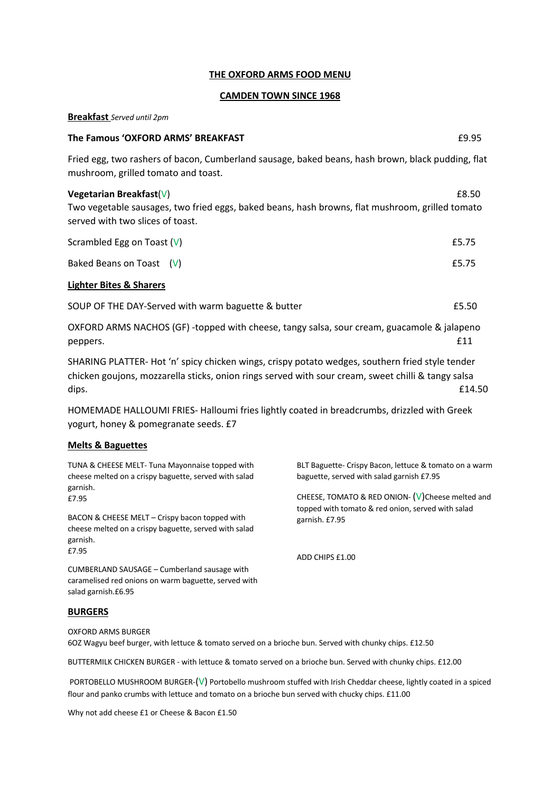#### **THE OXFORD ARMS FOOD MENU**

#### **CAMDEN TOWN SINCE 1968**

#### **Breakfast** *Served until 2pm*

# **The Famous 'OXFORD ARMS' BREAKFAST Example 2008 Example 2009**

Fried egg, two rashers of bacon, Cumberland sausage, baked beans, hash brown, black pudding, flat mushroom, grilled tomato and toast.

# **Vegetarian Breakfast**(V) **E8.50**

Two vegetable sausages, two fried eggs, baked beans, hash browns, flat mushroom, grilled tomato served with two slices of toast.

| Scrambled Egg on Toast $(V)$ | £5.75 |
|------------------------------|-------|
| Baked Beans on Toast $(V)$   | £5.75 |

# **Lighter Bites & Sharers**

SOUP OF THE DAY-Served with warm baguette & butter **EXACUSE 2008** 25.50

OXFORD ARMS NACHOS (GF) -topped with cheese, tangy salsa, sour cream, guacamole & jalapeno  $peppers.$   $£11$ 

SHARING PLATTER- Hot 'n' spicy chicken wings, crispy potato wedges, southern fried style tender chicken goujons, mozzarella sticks, onion rings served with sour cream, sweet chilli & tangy salsa dips. E14.50

HOMEMADE HALLOUMI FRIES- Halloumi fries lightly coated in breadcrumbs, drizzled with Greek yogurt, honey & pomegranate seeds. £7

#### **Melts & Baguettes**

TUNA & CHEESE MELT- Tuna Mayonnaise topped with cheese melted on a crispy baguette, served with salad garnish. £7.95

BACON & CHEESE MELT – Crispy bacon topped with cheese melted on a crispy baguette, served with salad garnish. £7.95

CUMBERLAND SAUSAGE – Cumberland sausage with caramelised red onions on warm baguette, served with salad garnish.£6.95

# **BURGERS**

OXFORD ARMS BURGER 6OZ Wagyu beef burger, with lettuce & tomato served on a brioche bun. Served with chunky chips. £12.50

BUTTERMILK CHICKEN BURGER - with lettuce & tomato served on a brioche bun. Served with chunky chips. £12.00

PORTOBELLO MUSHROOM BURGER-(V) Portobello mushroom stuffed with Irish Cheddar cheese, lightly coated in a spiced flour and panko crumbs with lettuce and tomato on a brioche bun served with chucky chips. £11.00

Why not add cheese £1 or Cheese & Bacon £1.50

BLT Baguette- Crispy Bacon, lettuce & tomato on a warm baguette, served with salad garnish £7.95

CHEESE, TOMATO & RED ONION- $(V)$ Cheese melted and topped with tomato & red onion, served with salad garnish. £7.95

ADD CHIPS £1.00